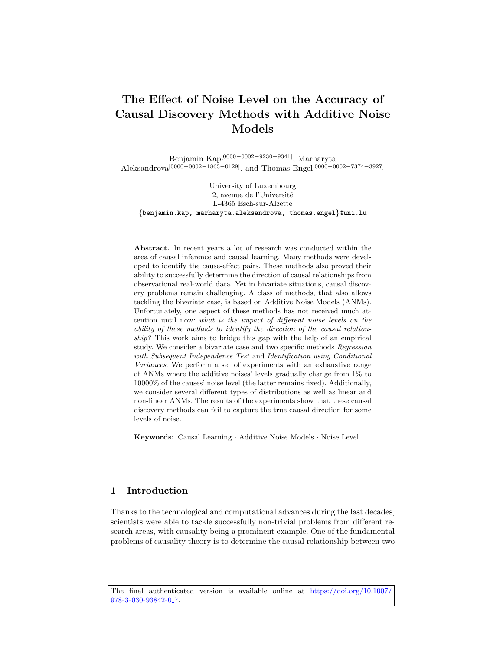# The Effect of Noise Level on the Accuracy of Causal Discovery Methods with Additive Noise Models

Benjamin Kap[0000−0002−9230−9341], Marharyta Aleksandrova[0000−0002−1863−0129], and Thomas Engel[0000−0002−7374−3927]

University of Luxembourg 2, avenue de l'Université L-4365 Esch-sur-Alzette {benjamin.kap, marharyta.aleksandrova, thomas.engel}@uni.lu

Abstract. In recent years a lot of research was conducted within the area of causal inference and causal learning. Many methods were developed to identify the cause-effect pairs. These methods also proved their ability to successfully determine the direction of causal relationships from observational real-world data. Yet in bivariate situations, causal discovery problems remain challenging. A class of methods, that also allows tackling the bivariate case, is based on Additive Noise Models (ANMs). Unfortunately, one aspect of these methods has not received much attention until now: what is the impact of different noise levels on the ability of these methods to identify the direction of the causal relationship? This work aims to bridge this gap with the help of an empirical study. We consider a bivariate case and two specific methods Regression with Subsequent Independence Test and Identification using Conditional Variances. We perform a set of experiments with an exhaustive range of ANMs where the additive noises' levels gradually change from 1% to 10000% of the causes' noise level (the latter remains fixed). Additionally, we consider several different types of distributions as well as linear and non-linear ANMs. The results of the experiments show that these causal discovery methods can fail to capture the true causal direction for some levels of noise.

Keywords: Causal Learning · Additive Noise Models · Noise Level.

# 1 Introduction

Thanks to the technological and computational advances during the last decades, scientists were able to tackle successfully non-trivial problems from different research areas, with causality being a prominent example. One of the fundamental problems of causality theory is to determine the causal relationship between two

The final authenticated version is available online at [https://doi.org/10.1007/](https://doi.org/10.1007/978-3-030-93842-0_7) [978-3-030-93842-0](https://doi.org/10.1007/978-3-030-93842-0_7) 7.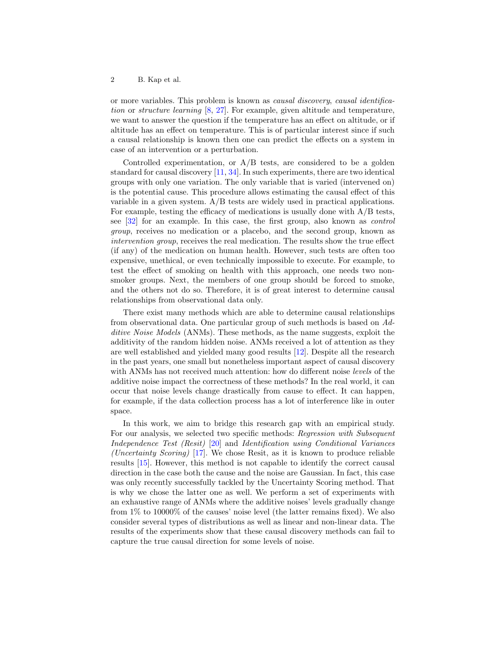or more variables. This problem is known as causal discovery, causal identification or structure learning [\[8,](#page-19-0) [27\]](#page-20-0). For example, given altitude and temperature, we want to answer the question if the temperature has an effect on altitude, or if altitude has an effect on temperature. This is of particular interest since if such a causal relationship is known then one can predict the effects on a system in case of an intervention or a perturbation.

Controlled experimentation, or  $A/B$  tests, are considered to be a golden standard for causal discovery [\[11,](#page-19-1) [34\]](#page-21-0). In such experiments, there are two identical groups with only one variation. The only variable that is varied (intervened on) is the potential cause. This procedure allows estimating the causal effect of this variable in a given system. A/B tests are widely used in practical applications. For example, testing the efficacy of medications is usually done with A/B tests, see [\[32\]](#page-20-1) for an example. In this case, the first group, also known as control group, receives no medication or a placebo, and the second group, known as intervention group, receives the real medication. The results show the true effect (if any) of the medication on human health. However, such tests are often too expensive, unethical, or even technically impossible to execute. For example, to test the effect of smoking on health with this approach, one needs two nonsmoker groups. Next, the members of one group should be forced to smoke, and the others not do so. Therefore, it is of great interest to determine causal relationships from observational data only.

There exist many methods which are able to determine causal relationships from observational data. One particular group of such methods is based on Additive Noise Models (ANMs). These methods, as the name suggests, exploit the additivity of the random hidden noise. ANMs received a lot of attention as they are well established and yielded many good results [\[12\]](#page-19-2). Despite all the research in the past years, one small but nonetheless important aspect of causal discovery with ANMs has not received much attention: how do different noise *levels* of the additive noise impact the correctness of these methods? In the real world, it can occur that noise levels change drastically from cause to effect. It can happen, for example, if the data collection process has a lot of interference like in outer space.

In this work, we aim to bridge this research gap with an empirical study. For our analysis, we selected two specific methods: Regression with Subsequent Independence Test (Resit) [\[20\]](#page-20-2) and Identification using Conditional Variances (Uncertainty Scoring) [\[17\]](#page-20-3). We chose Resit, as it is known to produce reliable results [\[15\]](#page-19-3). However, this method is not capable to identify the correct causal direction in the case both the cause and the noise are Gaussian. In fact, this case was only recently successfully tackled by the Uncertainty Scoring method. That is why we chose the latter one as well. We perform a set of experiments with an exhaustive range of ANMs where the additive noises' levels gradually change from 1% to 10000% of the causes' noise level (the latter remains fixed). We also consider several types of distributions as well as linear and non-linear data. The results of the experiments show that these causal discovery methods can fail to capture the true causal direction for some levels of noise.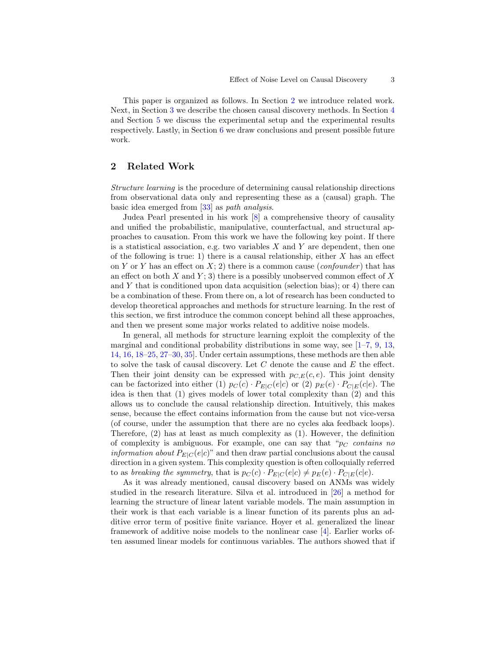This paper is organized as follows. In Section [2](#page-2-0) we introduce related work. Next, in Section [3](#page-3-0) we describe the chosen causal discovery methods. In Section [4](#page-7-0) and Section [5](#page-8-0) we discuss the experimental setup and the experimental results respectively. Lastly, in Section [6](#page-13-0) we draw conclusions and present possible future work.

# <span id="page-2-0"></span>2 Related Work

Structure learning is the procedure of determining causal relationship directions from observational data only and representing these as a (causal) graph. The basic idea emerged from [\[33\]](#page-21-1) as path analysis.

Judea Pearl presented in his work [\[8\]](#page-19-0) a comprehensive theory of causality and unified the probabilistic, manipulative, counterfactual, and structural approaches to causation. From this work we have the following key point. If there is a statistical association, e.g. two variables  $X$  and  $Y$  are dependent, then one of the following is true: 1) there is a causal relationship, either  $X$  has an effect on Y or Y has an effect on  $X: 2$ ) there is a common cause (*confounder*) that has an effect on both X and Y; 3) there is a possibly unobserved common effect of X and Y that is conditioned upon data acquisition (selection bias); or 4) there can be a combination of these. From there on, a lot of research has been conducted to develop theoretical approaches and methods for structure learning. In the rest of this section, we first introduce the common concept behind all these approaches, and then we present some major works related to additive noise models.

In general, all methods for structure learning exploit the complexity of the marginal and conditional probability distributions in some way, see  $[1-7, 9, 13, 1]$  $[1-7, 9, 13, 1]$  $[1-7, 9, 13, 1]$  $[1-7, 9, 13, 1]$  $[1-7, 9, 13, 1]$  $[1-7, 9, 13, 1]$ [14,](#page-19-8) [16,](#page-19-9) [18–](#page-20-4)[25,](#page-20-5) [27–](#page-20-0)[30,](#page-20-6) [35\]](#page-21-2). Under certain assumptions, these methods are then able to solve the task of causal discovery. Let  $C$  denote the cause and  $E$  the effect. Then their joint density can be expressed with  $p_{C,E}(c, e)$ . This joint density can be factorized into either (1)  $p_C(c) \cdot P_{E|C}(e|c)$  or (2)  $p_E(e) \cdot P_{C|E}(c|e)$ . The idea is then that (1) gives models of lower total complexity than (2) and this allows us to conclude the causal relationship direction. Intuitively, this makes sense, because the effect contains information from the cause but not vice-versa (of course, under the assumption that there are no cycles aka feedback loops). Therefore, (2) has at least as much complexity as (1). However, the definition of complexity is ambiguous. For example, one can say that " $p_C$  contains no *information about*  $P_{E|C}(e|c)$ " and then draw partial conclusions about the causal direction in a given system. This complexity question is often colloquially referred to as breaking the symmetry, that is  $p_C(c) \cdot P_{E|C}(e|c) \neq p_E(e) \cdot P_{C|E}(c|e)$ .

As it was already mentioned, causal discovery based on ANMs was widely studied in the research literature. Silva et al. introduced in [\[26\]](#page-20-7) a method for learning the structure of linear latent variable models. The main assumption in their work is that each variable is a linear function of its parents plus an additive error term of positive finite variance. Hoyer et al. generalized the linear framework of additive noise models to the nonlinear case [\[4\]](#page-19-10). Earlier works often assumed linear models for continuous variables. The authors showed that if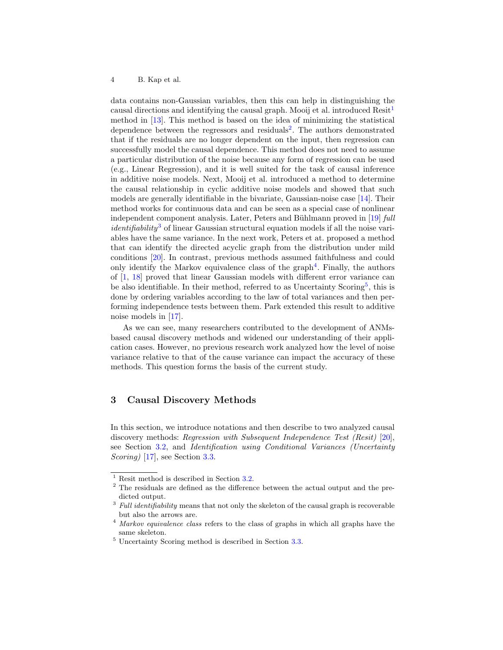data contains non-Gaussian variables, then this can help in distinguishing the causal directions and identifying the causal graph. Mooij et al. introduced  $\text{Resit}^{1}$  $\text{Resit}^{1}$  $\text{Resit}^{1}$ method in [\[13\]](#page-19-7). This method is based on the idea of minimizing the statistical dependence between the regressors and residuals<sup>[2](#page-3-2)</sup>. The authors demonstrated that if the residuals are no longer dependent on the input, then regression can successfully model the causal dependence. This method does not need to assume a particular distribution of the noise because any form of regression can be used (e.g., Linear Regression), and it is well suited for the task of causal inference in additive noise models. Next, Mooij et al. introduced a method to determine the causal relationship in cyclic additive noise models and showed that such models are generally identifiable in the bivariate, Gaussian-noise case [\[14\]](#page-19-8). Their method works for continuous data and can be seen as a special case of nonlinear independent component analysis. Later, Peters and Bühlmann proved in  $[19]$  full *identifiability*<sup>[3](#page-3-3)</sup> of linear Gaussian structural equation models if all the noise variables have the same variance. In the next work, Peters et at. proposed a method that can identify the directed acyclic graph from the distribution under mild conditions [\[20\]](#page-20-2). In contrast, previous methods assumed faithfulness and could only identify the Markov equivalence class of the graph<sup>[4](#page-3-4)</sup>. Finally, the authors of [\[1,](#page-19-4) [18\]](#page-20-4) proved that linear Gaussian models with different error variance can be also identifiable. In their method, referred to as Uncertainty Scoring<sup>[5](#page-3-5)</sup>, this is done by ordering variables according to the law of total variances and then performing independence tests between them. Park extended this result to additive noise models in [\[17\]](#page-20-3).

As we can see, many researchers contributed to the development of ANMsbased causal discovery methods and widened our understanding of their application cases. However, no previous research work analyzed how the level of noise variance relative to that of the cause variance can impact the accuracy of these methods. This question forms the basis of the current study.

# <span id="page-3-0"></span>3 Causal Discovery Methods

In this section, we introduce notations and then describe to two analyzed causal discovery methods: Regression with Subsequent Independence Test (Resit) [\[20\]](#page-20-2), see Section [3.2,](#page-4-0) and Identification using Conditional Variances (Uncertainty Scoring) [\[17\]](#page-20-3), see Section [3.3.](#page-6-0)

<span id="page-3-1"></span> $^{\rm 1}$  Resit method is described in Section [3.2.](#page-4-0)

<span id="page-3-2"></span><sup>2</sup> The residuals are defined as the difference between the actual output and the predicted output.

<span id="page-3-3"></span> $3$  Full identifiability means that not only the skeleton of the causal graph is recoverable but also the arrows are.

<span id="page-3-4"></span><sup>&</sup>lt;sup>4</sup> Markov equivalence class refers to the class of graphs in which all graphs have the same skeleton.

<span id="page-3-5"></span><sup>5</sup> Uncertainty Scoring method is described in Section [3.3.](#page-6-0)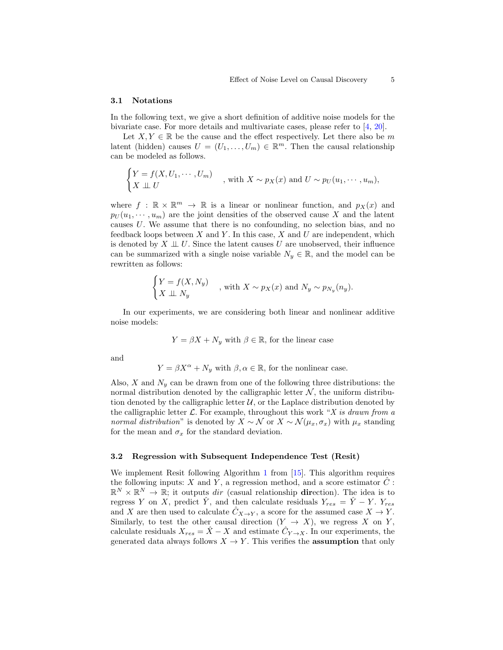#### 3.1 Notations

In the following text, we give a short definition of additive noise models for the bivariate case. For more details and multivariate cases, please refer to [\[4,](#page-19-10) [20\]](#page-20-2).

Let  $X, Y \in \mathbb{R}$  be the cause and the effect respectively. Let there also be m latent (hidden) causes  $U = (U_1, \ldots, U_m) \in \mathbb{R}^m$ . Then the causal relationship can be modeled as follows.

$$
\begin{cases}\nY = f(X, U_1, \cdots, U_m) \\
X \perp U\n\end{cases}
$$
, with  $X \sim p_X(x)$  and  $U \sim p_U(u_1, \cdots, u_m)$ ,

where  $f : \mathbb{R} \times \mathbb{R}^m \to \mathbb{R}$  is a linear or nonlinear function, and  $p_X(x)$  and  $p_U(u_1, \dots, u_m)$  are the joint densities of the observed cause X and the latent causes U. We assume that there is no confounding, no selection bias, and no feedback loops between  $X$  and  $Y$ . In this case,  $X$  and  $U$  are independent, which is denoted by  $X \perp\!\!\!\perp U$ . Since the latent causes U are unobserved, their influence can be summarized with a single noise variable  $N_y \in \mathbb{R}$ , and the model can be rewritten as follows:

$$
\begin{cases}\nY = f(X, N_y) \\
X \perp\!\!\!\perp N_y\n\end{cases}
$$
, with  $X \sim p_X(x)$  and  $N_y \sim p_{N_y}(n_y)$ .

In our experiments, we are considering both linear and nonlinear additive noise models:

$$
Y = \beta X + N_y
$$
 with  $\beta \in \mathbb{R}$ , for the linear case

and

$$
Y = \beta X^{\alpha} + N_y
$$
 with  $\beta, \alpha \in \mathbb{R}$ , for the nonlinear case.

Also, X and  $N_y$  can be drawn from one of the following three distributions: the normal distribution denoted by the calligraphic letter  $N$ , the uniform distribution denoted by the calligraphic letter  $U$ , or the Laplace distribution denoted by the calligraphic letter  $\mathcal L$ . For example, throughout this work "X is drawn from a normal distribution" is denoted by  $X \sim \mathcal{N}$  or  $X \sim \mathcal{N}(\mu_x, \sigma_x)$  with  $\mu_x$  standing for the mean and  $\sigma_x$  for the standard deviation.

#### <span id="page-4-0"></span>3.2 Regression with Subsequent Independence Test (Resit)

We implement Resit following Algorithm [1](#page-5-0) from [\[15\]](#page-19-3). This algorithm requires the following inputs: X and Y, a regression method, and a score estimator  $\hat{C}$ :  $\mathbb{R}^N \times \mathbb{R}^N \to \mathbb{R}$ ; it outputs dir (casual relationship **dir**ection). The idea is to regress Y on X, predict  $\hat{Y}$ , and then calculate residuals  $Y_{res} = \hat{Y} - Y$ .  $Y_{res}$ and X are then used to calculate  $C_{X\to Y}$ , a score for the assumed case  $X \to Y$ . Similarly, to test the other causal direction  $(Y \rightarrow X)$ , we regress X on Y, calculate residuals  $X_{res} = \hat{X} - X$  and estimate  $\hat{C}_{Y \to X}$ . In our experiments, the generated data always follows  $X \to Y$ . This verifies the **assumption** that only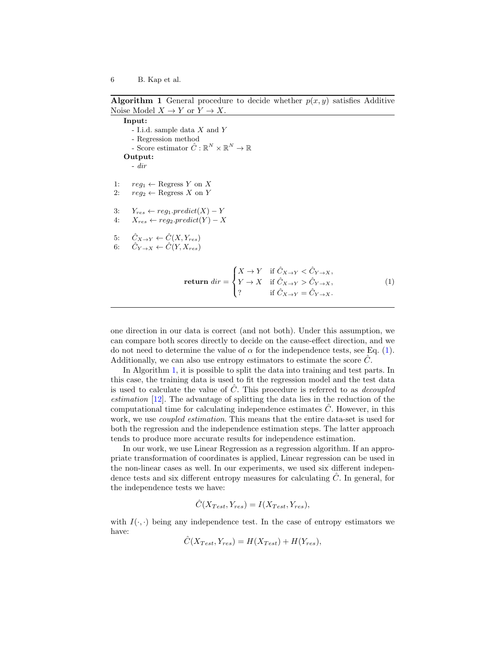<span id="page-5-0"></span>**Algorithm 1** General procedure to decide whether  $p(x, y)$  satisfies Additive Noise Model  $X \to Y$  or  $Y \to X$ .

Input: - I.i.d. sample data X and Y - Regression method - Score estimator  $\hat{C} : \mathbb{R}^N \times \mathbb{R}^N \to \mathbb{R}$ Output: - dir 1:  $req_1 \leftarrow \text{Regress } Y \text{ on } X$ 2:  $reg_2 \leftarrow \text{Regress } X \text{ on } Y$ 3:  $Y_{res} \leftarrow reg_1.predict(X) - Y$ 4:  $X_{res} \leftarrow reg_2.predict(Y) - X$ 5:  $\hat{C}_{X\to Y} \leftarrow \hat{C}(X, Y_{res})$ 6:  $\ddot{C}_{Y\rightarrow X} \leftarrow \ddot{C}(Y, X_{res})$  $\sqrt{ }$ 

<span id="page-5-1"></span>
$$
\text{return } \text{dir} = \begin{cases} X \to Y & \text{if } \hat{C}_{X \to Y} < \hat{C}_{Y \to X}, \\ Y \to X & \text{if } \hat{C}_{X \to Y} > \hat{C}_{Y \to X}, \\ ? & \text{if } \hat{C}_{X \to Y} = \hat{C}_{Y \to X}. \end{cases} \tag{1}
$$

one direction in our data is correct (and not both). Under this assumption, we can compare both scores directly to decide on the cause-effect direction, and we do not need to determine the value of  $\alpha$  for the independence tests, see Eq. [\(1\)](#page-5-1). Additionally, we can also use entropy estimators to estimate the score  $\hat{C}$ .

In Algorithm [1,](#page-5-0) it is possible to split the data into training and test parts. In this case, the training data is used to fit the regression model and the test data is used to calculate the value of  $\hat{C}$ . This procedure is referred to as *decoupled* estimation [\[12\]](#page-19-2). The advantage of splitting the data lies in the reduction of the computational time for calculating independence estimates  $C$ . However, in this work, we use *coupled estimation*. This means that the entire data-set is used for both the regression and the independence estimation steps. The latter approach tends to produce more accurate results for independence estimation.

In our work, we use Linear Regression as a regression algorithm. If an appropriate transformation of coordinates is applied, Linear regression can be used in the non-linear cases as well. In our experiments, we used six different independence tests and six different entropy measures for calculating  $\hat{C}$ . In general, for the independence tests we have:

$$
\hat{C}(X_{Test}, Y_{res}) = I(X_{Test}, Y_{res}),
$$

with  $I(\cdot, \cdot)$  being any independence test. In the case of entropy estimators we have:

$$
\hat{C}(X_{Test}, Y_{res}) = H(X_{Test}) + H(Y_{res}),
$$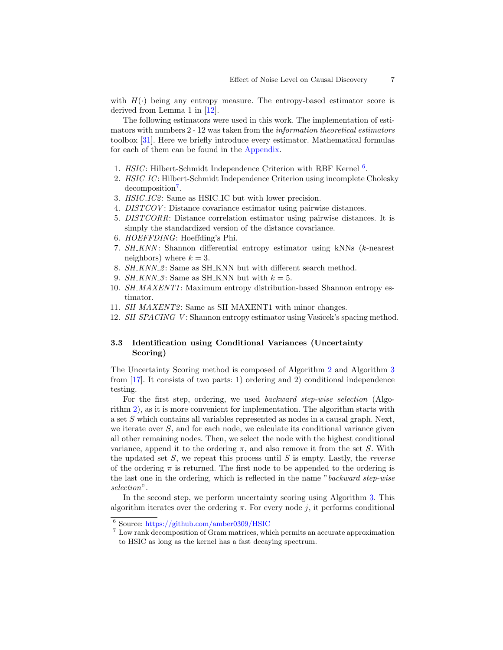with  $H(\cdot)$  being any entropy measure. The entropy-based estimator score is derived from Lemma 1 in [\[12\]](#page-19-2).

The following estimators were used in this work. The implementation of estimators with numbers 2 - 12 was taken from the information theoretical estimators toolbox [\[31\]](#page-20-9). Here we briefly introduce every estimator. Mathematical formulas for each of them can be found in the [Appendix.](#page-17-0)

- 1.  $HSIC$ : Hilbert-Schmidt Independence Criterion with RBF Kernel  $6$ .
- 2. HSIC\_IC: Hilbert-Schmidt Independence Criterion using incomplete Cholesky decomposition<sup>[7](#page-6-2)</sup>.
- 3. HSIC\_IC2: Same as HSIC\_IC but with lower precision.
- 4. DISTCOV: Distance covariance estimator using pairwise distances.
- 5. DISTCORR: Distance correlation estimator using pairwise distances. It is simply the standardized version of the distance covariance.
- 6. HOEFFDING: Hoeffding's Phi.
- 7. SH\_KNN: Shannon differential entropy estimator using kNNs (k-nearest neighbors) where  $k = 3$ .
- 8. SH\_KNN\_2: Same as SH\_KNN but with different search method.
- 9. SH\_KNN\_3: Same as SH\_KNN but with  $k = 5$ .
- 10. SH\_MAXENT1: Maximum entropy distribution-based Shannon entropy estimator.
- 11. SH\_MAXENT2: Same as SH\_MAXENT1 with minor changes.
- 12. SH\_SPACING\_V: Shannon entropy estimator using Vasicek's spacing method.

## <span id="page-6-0"></span>3.3 Identification using Conditional Variances (Uncertainty Scoring)

The Uncertainty Scoring method is composed of Algorithm [2](#page-7-1) and Algorithm [3](#page-7-2) from [\[17\]](#page-20-3). It consists of two parts: 1) ordering and 2) conditional independence testing.

For the first step, ordering, we used backward step-wise selection (Algorithm [2\)](#page-7-1), as it is more convenient for implementation. The algorithm starts with a set S which contains all variables represented as nodes in a causal graph. Next, we iterate over  $S$ , and for each node, we calculate its conditional variance given all other remaining nodes. Then, we select the node with the highest conditional variance, append it to the ordering  $\pi$ , and also remove it from the set S. With the updated set  $S$ , we repeat this process until  $S$  is empty. Lastly, the *reverse* of the ordering  $\pi$  is returned. The first node to be appended to the ordering is the last one in the ordering, which is reflected in the name "backward step-wise selection".

In the second step, we perform uncertainty scoring using Algorithm [3.](#page-7-2) This algorithm iterates over the ordering  $\pi$ . For every node j, it performs conditional

<span id="page-6-1"></span><sup>6</sup> Source: <https://github.com/amber0309/HSIC>

<span id="page-6-2"></span><sup>7</sup> Low rank decomposition of Gram matrices, which permits an accurate approximation to HSIC as long as the kernel has a fast decaying spectrum.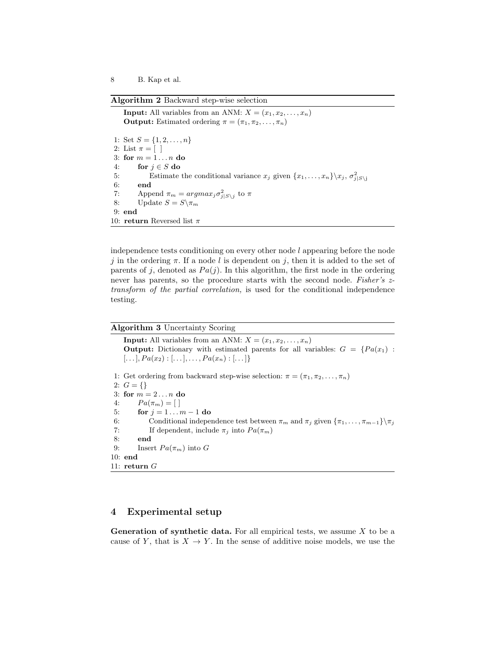<span id="page-7-1"></span>Algorithm 2 Backward step-wise selection

**Input:** All variables from an ANM:  $X = (x_1, x_2, \ldots, x_n)$ **Output:** Estimated ordering  $\pi = (\pi_1, \pi_2, \dots, \pi_n)$ 1: Set  $S = \{1, 2, \ldots, n\}$ 2: List  $\pi = [$ 3: for  $m = 1 \ldots n$  do 4: for  $j \in S$  do 5: Estimate the conditional variance  $x_j$  given  $\{x_1, \ldots, x_n\} \backslash x_j, \sigma_{j|S\backslash j}^2$ 6: end 7: Append  $\pi_m = argmax_j \sigma_{j|S\setminus j}^2$  to  $\pi$ 8: Update  $S = S \setminus \pi_m$ 9: end 10: return Reversed list $\pi$ 

independence tests conditioning on every other node  $l$  appearing before the node j in the ordering  $\pi$ . If a node l is dependent on j, then it is added to the set of parents of j, denoted as  $Pa(j)$ . In this algorithm, the first node in the ordering never has parents, so the procedure starts with the second node. Fisher's ztransform of the partial correlation, is used for the conditional independence testing.

### <span id="page-7-2"></span>Algorithm 3 Uncertainty Scoring

**Input:** All variables from an ANM:  $X = (x_1, x_2, \ldots, x_n)$ Output: Dictionary with estimated parents for all variables:  $G = \{Pa(x_1) :$  $[...], Pa(x_2) : [...], ..., Pa(x_n) : [...]$ 1: Get ordering from backward step-wise selection:  $\pi = (\pi_1, \pi_2, \ldots, \pi_n)$ 2:  $G = \{\}$ 3: for  $m = 2 \ldots n$  do 4:  $Pa(\pi_m) = [$ 5: for  $j = 1 ... m - 1$  do 6: Conditional independence test between  $\pi_m$  and  $\pi_j$  given  $\{\pi_1, \ldots, \pi_{m-1}\}\$ 7: If dependent, include  $\pi_j$  into  $Pa(\pi_m)$ 8: end 9: Insert  $Pa(\pi_m)$  into G 10: end 11: return G

# <span id="page-7-0"></span>4 Experimental setup

**Generation of synthetic data.** For all empirical tests, we assume  $X$  to be a cause of Y, that is  $X \to Y$ . In the sense of additive noise models, we use the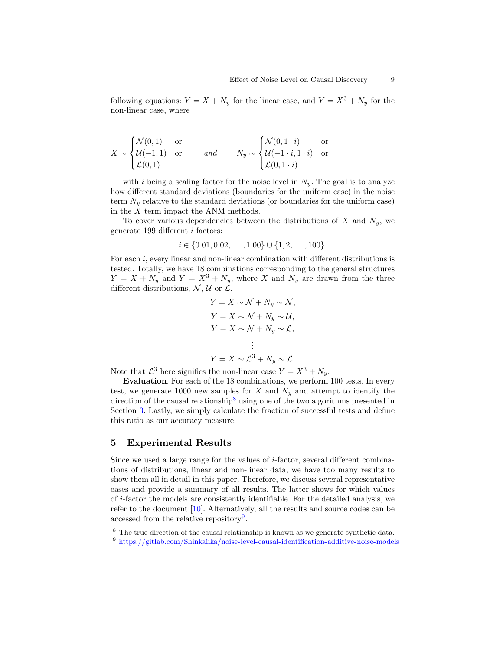following equations:  $Y = X + N_y$  for the linear case, and  $Y = X^3 + N_y$  for the non-linear case, where

$$
X \sim \begin{cases} \mathcal{N}(0,1) & \text{or} \\ \mathcal{U}(-1,1) & \text{or} \\ \mathcal{L}(0,1) & \end{cases} \quad \text{and} \quad N_y \sim \begin{cases} \mathcal{N}(0,1\cdot i) & \text{or} \\ \mathcal{U}(-1\cdot i,1\cdot i) & \text{or} \\ \mathcal{L}(0,1\cdot i) & \end{cases}
$$

with i being a scaling factor for the noise level in  $N_y$ . The goal is to analyze how different standard deviations (boundaries for the uniform case) in the noise term  $N_y$  relative to the standard deviations (or boundaries for the uniform case) in the X term impact the ANM methods.

To cover various dependencies between the distributions of X and  $N_y$ , we generate 199 different i factors:

$$
i \in \{0.01, 0.02, \dots, 1.00\} \cup \{1, 2, \dots, 100\}.
$$

For each i, every linear and non-linear combination with different distributions is tested. Totally, we have 18 combinations corresponding to the general structures  $Y = X + N_y$  and  $Y = X^3 + N_y$ , where X and  $N_y$  are drawn from the three different distributions,  $\mathcal{N}, \mathcal{U}$  or  $\mathcal{L}.$ 

$$
Y = X \sim \mathcal{N} + N_y \sim \mathcal{N},
$$
  
\n
$$
Y = X \sim \mathcal{N} + N_y \sim \mathcal{U},
$$
  
\n
$$
Y = X \sim \mathcal{N} + N_y \sim \mathcal{L},
$$
  
\n
$$
\vdots
$$
  
\n
$$
Y = X \sim \mathcal{L}^3 + N_y \sim \mathcal{L}.
$$

Note that  $\mathcal{L}^3$  here signifies the non-linear case  $Y = X^3 + N_y$ .

Evaluation. For each of the 18 combinations, we perform 100 tests. In every test, we generate 1000 new samples for X and  $N_y$  and attempt to identify the direction of the causal relationship<sup>[8](#page-8-1)</sup> using one of the two algorithms presented in Section [3.](#page-3-0) Lastly, we simply calculate the fraction of successful tests and define this ratio as our accuracy measure.

### <span id="page-8-0"></span>5 Experimental Results

Since we used a large range for the values of  $i$ -factor, several different combinations of distributions, linear and non-linear data, we have too many results to show them all in detail in this paper. Therefore, we discuss several representative cases and provide a summary of all results. The latter shows for which values of i-factor the models are consistently identifiable. For the detailed analysis, we refer to the document [\[10\]](#page-19-11). Alternatively, all the results and source codes can be accessed from the relative repository<sup>[9](#page-8-2)</sup>.

<span id="page-8-1"></span><sup>&</sup>lt;sup>8</sup> The true direction of the causal relationship is known as we generate synthetic data.

<span id="page-8-2"></span><sup>9</sup> <https://gitlab.com/Shinkaiika/noise-level-causal-identification-additive-noise-models>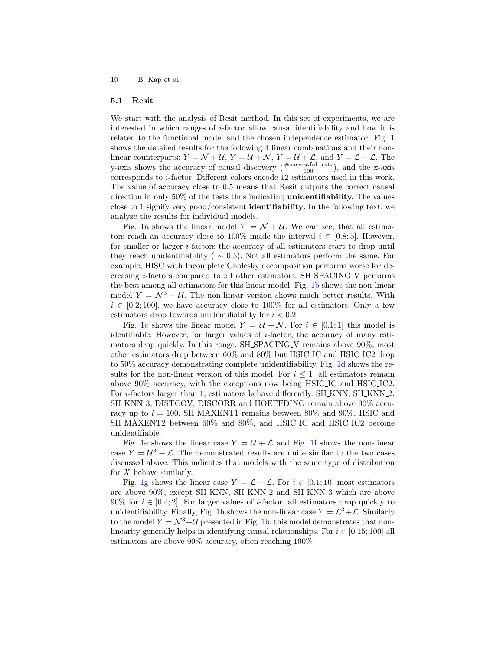#### 5.1 Resit

We start with the analysis of Resit method. In this set of experiments, we are interested in which ranges of i-factor allow causal identifiability and how it is related to the functional model and the chosen independence estimator. Fig. [1](#page-10-0) shows the detailed results for the following 4 linear combinations and their nonlinear counterparts:  $Y = \mathcal{N} + \mathcal{U}$ ,  $Y = \mathcal{U} + \mathcal{N}$ ,  $Y = \mathcal{U} + \mathcal{L}$ , and  $Y = \mathcal{L} + \mathcal{L}$ . The y-axis shows the accuracy of causal discovery  $(\frac{\text{\#successful tests}}{100})$ , and the x-axis corresponds to i-factor. Different colors encode 12 estimators used in this work. The value of accuracy close to 0.5 means that Resit outputs the correct causal direction in only 50% of the tests thus indicating unidentifiability. The values close to 1 signify very good/consistent identifiability. In the following text, we analyze the results for individual models.

Fig. [1a](#page-10-0) shows the linear model  $Y = \mathcal{N} + \mathcal{U}$ . We can see, that all estimators reach an accuracy close to 100% inside the interval  $i \in [0.8; 5]$ . However, for smaller or larger i-factors the accuracy of all estimators start to drop until they reach unidentifiability ( $\sim$  0.5). Not all estimators perform the same. For example, HISC with Incomplete Cholesky decomposition performs worse for decreasing i-factors compared to all other estimators. SH SPACING V performs the best among all estimators for this linear model. Fig. [1b](#page-10-0) shows the non-linear model  $Y = \mathcal{N}^3 + \mathcal{U}$ . The non-linear version shows much better results. With  $i \in [0.2, 100]$ , we have accuracy close to 100% for all estimators. Only a few estimators drop towards unidentifiability for  $i < 0.2$ .

Fig. [1c](#page-10-0) shows the linear model  $Y = U + \mathcal{N}$ . For  $i \in [0.1, 1]$  this model is identifiable. However, for larger values of  $i$ -factor, the accuracy of many estimators drop quickly. In this range, SH SPACING V remains above 90%, most other estimators drop between 60% and 80% but HSIC IC and HSIC IC2 drop to 50% accuracy demonstrating complete unidentifiability. Fig. [1d](#page-10-0) shows the results for the non-linear version of this model. For  $i \leq 1$ , all estimators remain above 90% accuracy, with the exceptions now being HSIC IC and HSIC IC2. For *i*-factors larger than 1, estimators behave differently. SH\_KNN, SH\_KNN\_2, SH KNN 3, DISTCOV, DISCORR and HOEFFDING remain above 90% accuracy up to  $i = 100$ . SH\_MAXENT1 remains between 80% and 90%, HSIC and SH MAXENT2 between 60% and 80%, and HSIC IC and HSIC IC2 become unidentifiable.

Fig. [1e](#page-10-0) shows the linear case  $Y = U + \mathcal{L}$  and Fig. [1f](#page-10-0) shows the non-linear case  $Y = U^3 + \mathcal{L}$ . The demonstrated results are quite similar to the two cases discussed above. This indicates that models with the same type of distribution for  $X$  behave similarly.

Fig. [1g](#page-10-0) shows the linear case  $Y = \mathcal{L} + \mathcal{L}$ . For  $i \in [0.1; 10]$  most estimators are above 90%, except SH KNN, SH KNN 2 and SH KNN 3 which are above 90% for  $i \in [0.4, 2]$ . For larger values of *i*-factor, all estimators drop quickly to unidentifiability. Finally, Fig. [1h](#page-10-0) shows the non-linear case  $Y = \mathcal{L}^3 + \mathcal{L}$ . Similarly to the model  $Y = \mathcal{N}^3 + \mathcal{U}$  presented in Fig. [1b,](#page-10-0) this model demonstrates that nonlinearity generally helps in identifying causal relationships. For  $i \in [0.15; 100]$  all estimators are above 90% accuracy, often reaching 100%.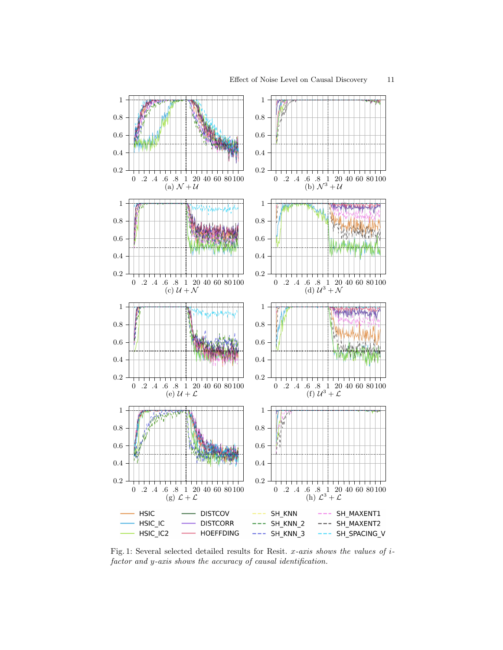<span id="page-10-0"></span>

Fig. 1: Several selected detailed results for Resit.  $x$ -axis shows the values of  $i$ factor and y-axis shows the accuracy of causal identification.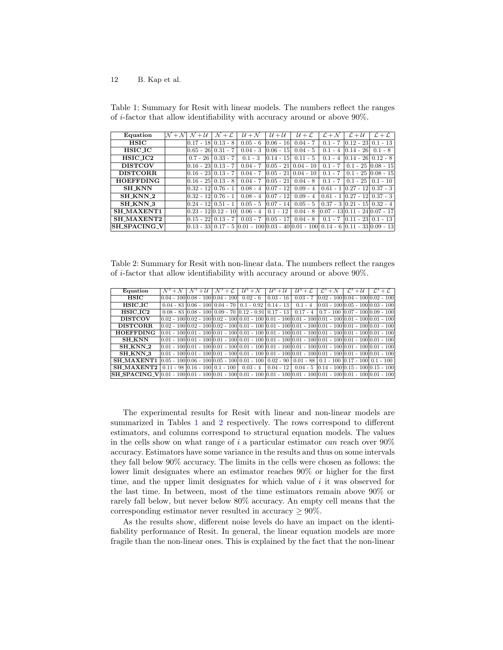<span id="page-11-0"></span>Table 1: Summary for Resit with linear models. The numbers reflect the ranges of i-factor that allow identifiability with accuracy around or above 90%.

| Equation            | $\mathcal{N}+\mathcal{N}$ | $+U$<br>$\mathcal N$ | $\mathcal{N}+\mathcal{L}$ | $U+N$                    | $U+U$                  | $U + L$                                                                            | $\mathcal{L} + \mathcal{N}$ | $\mathcal{L} + \mathcal{U}$               | $\mathcal{L}+\mathcal{L}$ |
|---------------------|---------------------------|----------------------|---------------------------|--------------------------|------------------------|------------------------------------------------------------------------------------|-----------------------------|-------------------------------------------|---------------------------|
| <b>HSIC</b>         |                           | $0.17 - 18$          | $0.13 - 8$                | $0.05 - 6$               | $0.06 - 16$            | $0.04 - 7$                                                                         |                             | $0.1 - 7$ $0.12 - 23$ $0.1 - 13$          |                           |
| <b>HSIC_IC</b>      |                           | 0.65 - 26  0.31 - 7  |                           | $0.04 - 3$               | $0.06 - 15$            | $0.04 - 5$                                                                         | $0.1 - 4$                   | $0.14 - 26$                               | $0.1 - 8$                 |
| HSIC_IC2            |                           |                      | $0.7 - 26$   $0.33 - 7$   | $0.1 - 3$                | $0.14 - 15$            | $0.11 - 5$                                                                         | $0.1 - 4$                   | $\lfloor 0.14 - 26 \rfloor$ 0.12 - 8      |                           |
| <b>DISTCOV</b>      |                           | 0.16 - 23  0.13 - 7  |                           |                          |                        | $0.04 - 7$ $ 0.05 - 21 $ $0.04 - 10$                                               | $0.1 - 7$                   |                                           | $0.1 - 2510.08 - 15$      |
| <b>DISTCORR</b>     |                           | 0.16 - 23  0.13 - 7  |                           |                          |                        | $0.04 - 7$ $ 0.05 - 21 $ $0.04 - 10$                                               | $0.1 - 7$                   |                                           | $0.1 - 25$ $0.08 - 15$    |
| <b>HOEFFDING</b>    |                           | 0.16 - 25   0.13 - 8 |                           | $0.04 - 7$ $ 0.05 - 21 $ |                        | $0.04 - 8$                                                                         | $0.1 - 7$                   | $0.1 - 25 \mid 0.1 - 10$                  |                           |
| <b>SH_KNN</b>       |                           | 0.32 - 12  0.76 - 1  |                           |                          | $0.08 - 4$ $0.07 - 12$ | $0.09 - 4$                                                                         |                             | $0.61 - 1 \times 27 - 12 \times 0.37 - 3$ |                           |
| SH KNN 2            |                           | 0.32 - 12  0.76 - 1  |                           |                          | $0.08 - 4$ 0.07 - 12   | $0.09 - 4$                                                                         |                             | $0.61 - 1 \times 27 - 12 \times 0.37 - 3$ |                           |
| <b>SH KNN 3</b>     |                           | 0.24 - 12   0.51 - 1 |                           | $0.05 - 5$               | $0.07 - 14$            | $0.05 - 5$                                                                         |                             | $0.37 - 3 \times 21 - 15 \times 0.32 - 4$ |                           |
| SH_MAXENT1          |                           | 0.23 - 12 0.12 - 10  |                           | $0.06 - 4$               | $0.1 - 12$             | $0.04 - 8$                                                                         |                             | $[0.07 - 13]0.11 - 24]0.07 - 17$          |                           |
| SH_MAXENT2          |                           | 0.15 - 22  0.13 - 7  |                           | $0.03 - 7$ $ 0.05 - 17 $ |                        | $0.04 - 8$                                                                         |                             | $0.1 - 7$ $0.11 - 23$ $0.1 - 13$          |                           |
| <b>SH_SPACING_V</b> |                           |                      |                           |                          |                        | $ 0.13 - 33 0.17 - 5 0.01 - 100 0.03 - 40 0.01 - 100 0.14 - 6 0.11 - 33 0.09 - 13$ |                             |                                           |                           |

<span id="page-11-1"></span>Table 2: Summary for Resit with non-linear data. The numbers reflect the ranges of i-factor that allow identifiability with accuracy around or above 90%.

| Equation                                                                                                                                                                                                                                                             | $\mathcal{N}^3 + \mathcal{N}$ | $\mathcal{N}^3 + \mathcal{U}$ | $\mathcal{N}^3 + \mathcal{L}$ | $\mathcal{U}^3 + \mathcal{N}$                                                                                               | $\mathcal{U}^3 + \mathcal{U}$ | $U^3 + C$ | $\mathcal{L}^3 + \mathcal{N}$ | $\mathcal{L}^3 + \mathcal{U}$ | $\mathcal{L}^3+\mathcal{L}$                   |
|----------------------------------------------------------------------------------------------------------------------------------------------------------------------------------------------------------------------------------------------------------------------|-------------------------------|-------------------------------|-------------------------------|-----------------------------------------------------------------------------------------------------------------------------|-------------------------------|-----------|-------------------------------|-------------------------------|-----------------------------------------------|
| HSIC                                                                                                                                                                                                                                                                 |                               |                               |                               | $ 0.04 - 100 0.08 - 100 0.04 - 100 $ $ 0.02 - 6 $ $ 0.03 - 16 $                                                             |                               |           |                               |                               | $0.03 - 7$ $0.02 - 10000.04 - 10000.02 - 100$ |
| <b>HSIC_IC</b>                                                                                                                                                                                                                                                       |                               |                               |                               | $0.04 - 83$ $0.06 - 100$ $0.04 - 70$ $0.1 - 0.92$ $0.14 - 13$ $0.1 - 4$                                                     |                               |           |                               |                               | $[0.03 - 100]0.05 - 100]0.03 - 100]$          |
| $HSTC\_IC2$                                                                                                                                                                                                                                                          |                               |                               |                               | $0.08 - 83$ $ 0.08 - 100 $ $0.09 - 70$ $ 0.12 - 0.91 $ $0.17 - 13$ $ 0.17 - 4 $ $ 0.7 - 100 $ $ 0.07 - 100 $ $ 0.09 - 100 $ |                               |           |                               |                               |                                               |
| <b>DISTCOV</b>                                                                                                                                                                                                                                                       |                               |                               |                               | $(0.02 - 100)0.02 - 100)0.02 - 100)0.01 - 100)0.01 - 100)0.01 - 100)0.01 - 100)0.01 - 100)0.01 - 100$                       |                               |           |                               |                               |                                               |
| DISTCORR.                                                                                                                                                                                                                                                            |                               |                               |                               | $(0.02 - 100)0.02 - 100)0.02 - 100)0.01 - 100)0.01 - 100)0.01 - 100)0.01 - 100)0.01 - 100)0.01 - 100$                       |                               |           |                               |                               |                                               |
| <b>HOEFFDING</b>                                                                                                                                                                                                                                                     |                               |                               |                               | $[0.01 - 100]0.01 - 100]0.01 - 100]0.01 - 100]0.01 - 100]0.01 - 100]0.01 - 100]0.01 - 100]0.01 - 100]$                      |                               |           |                               |                               |                                               |
| <b>SH KNN</b>                                                                                                                                                                                                                                                        |                               |                               |                               | $[0.01 - 100]0.01 - 100]0.01 - 100]0.01 - 100]0.01 - 100]0.01 - 100]0.01 - 100]0.01 - 100]0.01 - 100]$                      |                               |           |                               |                               |                                               |
| SH_KNN_2                                                                                                                                                                                                                                                             |                               |                               |                               | $[0.01 - 100]0.01 - 100]0.01 - 100]0.01 - 100]0.01 - 100]0.01 - 100]0.01 - 100]0.01 - 100]0.01 - 100]$                      |                               |           |                               |                               |                                               |
| SH KNN 3                                                                                                                                                                                                                                                             |                               |                               |                               | $[0.01 - 100]0.01 - 100]0.01 - 100]0.01 - 100]0.01 - 100]0.01 - 100]0.01 - 100]0.01 - 100]0.01 - 100$                       |                               |           |                               |                               |                                               |
| SH_MAXENT1                                                                                                                                                                                                                                                           |                               |                               |                               | $(0.05 - 100)0.06 - 100)0.05 - 100)0.01 - 100)0.02 - 90)0.01 - 88)0.1 - 100)0.17 - 100)0.1 - 100$                           |                               |           |                               |                               |                                               |
| <b>SH MAXENT2</b>                                                                                                                                                                                                                                                    |                               |                               |                               | $0.11 - 9800.16 - 10000.1 - 100000$ $0.03 - 40004 - 1200.04 - 5004 - 5001$                                                  |                               |           |                               |                               |                                               |
| $\textbf{[SH\_SPACE} \sim \textbf{[0.01 - 100 0.01 - 100 0.01 - 100 0.01 - 100 0.01 - 100 0.01 - 100 0.01 - 100 0.01 - 100 0.01 - 100 0.01 - 100 0.01 - 100 0.01 - 100 0.01 - 100 0.01 - 100 0.01 - 100 0.01 - 100 0.01 - 100 0.01 - 100 0.01 - 100 0.01 - 100 0.01$ |                               |                               |                               |                                                                                                                             |                               |           |                               |                               |                                               |

The experimental results for Resit with linear and non-linear models are summarized in Tables [1](#page-11-0) and [2](#page-11-1) respectively. The rows correspond to different estimators, and columns correspond to structural equation models. The values in the cells show on what range of  $i$  a particular estimator can reach over  $90\%$ accuracy. Estimators have some variance in the results and thus on some intervals they fall below 90% accuracy. The limits in the cells were chosen as follows: the lower limit designates where an estimator reaches 90% or higher for the first time, and the upper limit designates for which value of  $i$  it was observed for the last time. In between, most of the time estimators remain above 90% or rarely fall below, but never below 80% accuracy. An empty cell means that the corresponding estimator never resulted in accuracy  $\geq 90\%$ .

As the results show, different noise levels do have an impact on the identifiability performance of Resit. In general, the linear equation models are more fragile than the non-linear ones. This is explained by the fact that the non-linear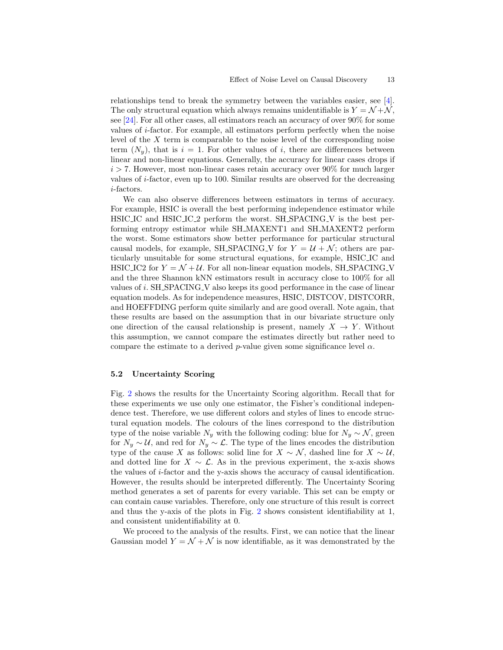relationships tend to break the symmetry between the variables easier, see [\[4\]](#page-19-10). The only structural equation which always remains unidentifiable is  $Y = \mathcal{N} + \mathcal{N}$ , see [\[24\]](#page-20-10). For all other cases, all estimators reach an accuracy of over 90% for some values of i-factor. For example, all estimators perform perfectly when the noise level of the  $X$  term is comparable to the noise level of the corresponding noise term  $(N_u)$ , that is  $i = 1$ . For other values of i, there are differences between linear and non-linear equations. Generally, the accuracy for linear cases drops if  $i > 7$ . However, most non-linear cases retain accuracy over 90% for much larger values of i-factor, even up to 100. Similar results are observed for the decreasing i-factors.

We can also observe differences between estimators in terms of accuracy. For example, HSIC is overall the best performing independence estimator while HSIC IC and HSIC IC 2 perform the worst. SH SPACING V is the best performing entropy estimator while SH MAXENT1 and SH MAXENT2 perform the worst. Some estimators show better performance for particular structural causal models, for example, SH\_SPACING\_V for  $Y = U + \mathcal{N}$ ; others are particularly unsuitable for some structural equations, for example, HSIC IC and HSIC IC2 for  $Y = \mathcal{N} + \mathcal{U}$ . For all non-linear equation models, SH\_SPACING\_V and the three Shannon kNN estimators result in accuracy close to 100% for all values of i. SH SPACING V also keeps its good performance in the case of linear equation models. As for independence measures, HSIC, DISTCOV, DISTCORR, and HOEFFDING perform quite similarly and are good overall. Note again, that these results are based on the assumption that in our bivariate structure only one direction of the causal relationship is present, namely  $X \to Y$ . Without this assumption, we cannot compare the estimates directly but rather need to compare the estimate to a derived p-value given some significance level  $\alpha$ .

#### 5.2 Uncertainty Scoring

Fig. [2](#page-14-0) shows the results for the Uncertainty Scoring algorithm. Recall that for these experiments we use only one estimator, the Fisher's conditional independence test. Therefore, we use different colors and styles of lines to encode structural equation models. The colours of the lines correspond to the distribution type of the noise variable  $N_y$  with the following coding: blue for  $N_y \sim \mathcal{N}$ , green for  $N_y \sim U$ , and red for  $N_y \sim \mathcal{L}$ . The type of the lines encodes the distribution type of the cause X as follows: solid line for  $X \sim \mathcal{N}$ , dashed line for  $X \sim \mathcal{U}$ , and dotted line for  $X \sim \mathcal{L}$ . As in the previous experiment, the x-axis shows the values of i-factor and the y-axis shows the accuracy of causal identification. However, the results should be interpreted differently. The Uncertainty Scoring method generates a set of parents for every variable. This set can be empty or can contain cause variables. Therefore, only one structure of this result is correct and thus the y-axis of the plots in Fig. [2](#page-14-0) shows consistent identifiability at 1, and consistent unidentifiability at 0.

We proceed to the analysis of the results. First, we can notice that the linear Gaussian model  $Y = \mathcal{N} + \mathcal{N}$  is now identifiable, as it was demonstrated by the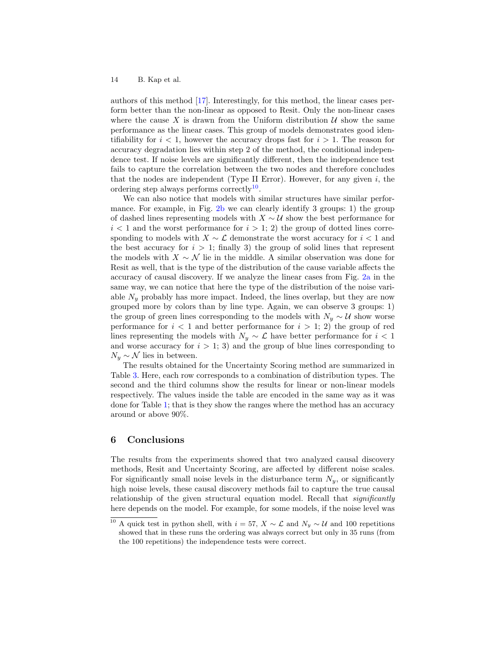authors of this method [\[17\]](#page-20-3). Interestingly, for this method, the linear cases perform better than the non-linear as opposed to Resit. Only the non-linear cases where the cause X is drawn from the Uniform distribution  $\mathcal U$  show the same performance as the linear cases. This group of models demonstrates good identifiability for  $i < 1$ , however the accuracy drops fast for  $i > 1$ . The reason for accuracy degradation lies within step 2 of the method, the conditional independence test. If noise levels are significantly different, then the independence test fails to capture the correlation between the two nodes and therefore concludes that the nodes are independent (Type II Error). However, for any given  $i$ , the ordering step always performs correctly<sup>[10](#page-13-1)</sup>.

We can also notice that models with similar structures have similar performance. For example, in Fig. [2b](#page-14-0) we can clearly identify 3 groups: 1) the group of dashed lines representing models with  $X \sim U$  show the best performance for  $i < 1$  and the worst performance for  $i > 1$ ; 2) the group of dotted lines corresponding to models with  $X \sim \mathcal{L}$  demonstrate the worst accuracy for  $i < 1$  and the best accuracy for  $i > 1$ ; finally 3) the group of solid lines that represent the models with  $X \sim \mathcal{N}$  lie in the middle. A similar observation was done for Resit as well, that is the type of the distribution of the cause variable affects the accuracy of causal discovery. If we analyze the linear cases from Fig. [2a](#page-14-0) in the same way, we can notice that here the type of the distribution of the noise variable  $N_y$  probably has more impact. Indeed, the lines overlap, but they are now grouped more by colors than by line type. Again, we can observe 3 groups: 1) the group of green lines corresponding to the models with  $N_y \sim U$  show worse performance for  $i < 1$  and better performance for  $i > 1$ ; 2) the group of red lines representing the models with  $N_y \sim \mathcal{L}$  have better performance for  $i < 1$ and worse accuracy for  $i > 1$ ; 3) and the group of blue lines corresponding to  $N_y \sim \mathcal{N}$  lies in between.

The results obtained for the Uncertainty Scoring method are summarized in Table [3.](#page-15-0) Here, each row corresponds to a combination of distribution types. The second and the third columns show the results for linear or non-linear models respectively. The values inside the table are encoded in the same way as it was done for Table [1;](#page-11-0) that is they show the ranges where the method has an accuracy around or above 90%.

## <span id="page-13-0"></span>6 Conclusions

The results from the experiments showed that two analyzed causal discovery methods, Resit and Uncertainty Scoring, are affected by different noise scales. For significantly small noise levels in the disturbance term  $N_y$ , or significantly high noise levels, these causal discovery methods fail to capture the true causal relationship of the given structural equation model. Recall that *significantly* here depends on the model. For example, for some models, if the noise level was

<span id="page-13-1"></span><sup>&</sup>lt;sup>10</sup> A quick test in python shell, with  $i = 57$ ,  $X \sim \mathcal{L}$  and  $N_y \sim \mathcal{U}$  and 100 repetitions showed that in these runs the ordering was always correct but only in 35 runs (from the 100 repetitions) the independence tests were correct.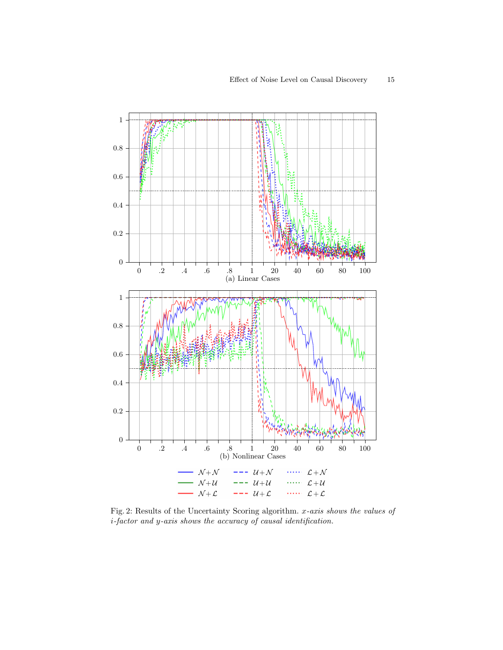<span id="page-14-0"></span>

Fig. 2: Results of the Uncertainty Scoring algorithm. x-axis shows the values of i-factor and y-axis shows the accuracy of causal identification.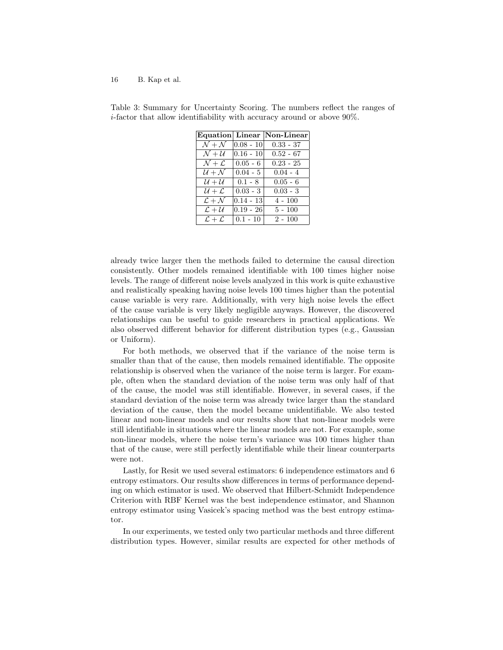|                             |             | Equation Linear Non-Linear |
|-----------------------------|-------------|----------------------------|
| $\mathcal{N}+\mathcal{N}$   | $0.08 - 10$ | $0.33 - 37$                |
| $\mathcal{N} + \mathcal{U}$ | $0.16 - 10$ | $0.52 - 67$                |
| $\mathcal{N}+\mathcal{L}$   | $0.05 - 6$  | $0.23 - 25$                |
| $U + N$                     | $0.04 - 5$  | $0.04 - 4$                 |
| $U+U$                       | $0.1 - 8$   | $0.05 - 6$                 |
| $U + L$                     | $0.03 - 3$  | $0.03 - 3$                 |
| $\mathcal{L} + \mathcal{N}$ | $0.14 - 13$ | 4 - 100                    |
| $\mathcal{L} + \mathcal{U}$ | $0.19 - 26$ | $5 - 100$                  |
| $\mathcal{L}+\mathcal{L}$   | $0.1 - 10$  | $2 - 100$                  |

<span id="page-15-0"></span>Table 3: Summary for Uncertainty Scoring. The numbers reflect the ranges of i-factor that allow identifiability with accuracy around or above 90%.

already twice larger then the methods failed to determine the causal direction consistently. Other models remained identifiable with 100 times higher noise levels. The range of different noise levels analyzed in this work is quite exhaustive and realistically speaking having noise levels 100 times higher than the potential cause variable is very rare. Additionally, with very high noise levels the effect of the cause variable is very likely negligible anyways. However, the discovered relationships can be useful to guide researchers in practical applications. We also observed different behavior for different distribution types (e.g., Gaussian or Uniform).

For both methods, we observed that if the variance of the noise term is smaller than that of the cause, then models remained identifiable. The opposite relationship is observed when the variance of the noise term is larger. For example, often when the standard deviation of the noise term was only half of that of the cause, the model was still identifiable. However, in several cases, if the standard deviation of the noise term was already twice larger than the standard deviation of the cause, then the model became unidentifiable. We also tested linear and non-linear models and our results show that non-linear models were still identifiable in situations where the linear models are not. For example, some non-linear models, where the noise term's variance was 100 times higher than that of the cause, were still perfectly identifiable while their linear counterparts were not.

Lastly, for Resit we used several estimators: 6 independence estimators and 6 entropy estimators. Our results show differences in terms of performance depending on which estimator is used. We observed that Hilbert-Schmidt Independence Criterion with RBF Kernel was the best independence estimator, and Shannon entropy estimator using Vasicek's spacing method was the best entropy estimator.

In our experiments, we tested only two particular methods and three different distribution types. However, similar results are expected for other methods of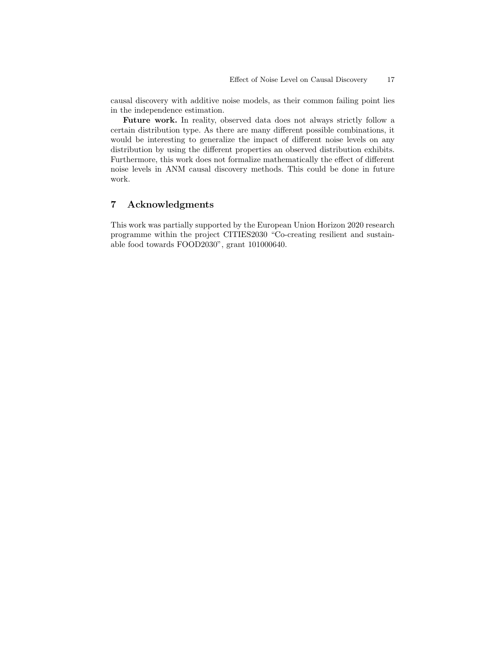causal discovery with additive noise models, as their common failing point lies in the independence estimation.

Future work. In reality, observed data does not always strictly follow a certain distribution type. As there are many different possible combinations, it would be interesting to generalize the impact of different noise levels on any distribution by using the different properties an observed distribution exhibits. Furthermore, this work does not formalize mathematically the effect of different noise levels in ANM causal discovery methods. This could be done in future work.

# 7 Acknowledgments

This work was partially supported by the European Union Horizon 2020 research programme within the project CITIES2030 "Co-creating resilient and sustainable food towards FOOD2030", grant 101000640.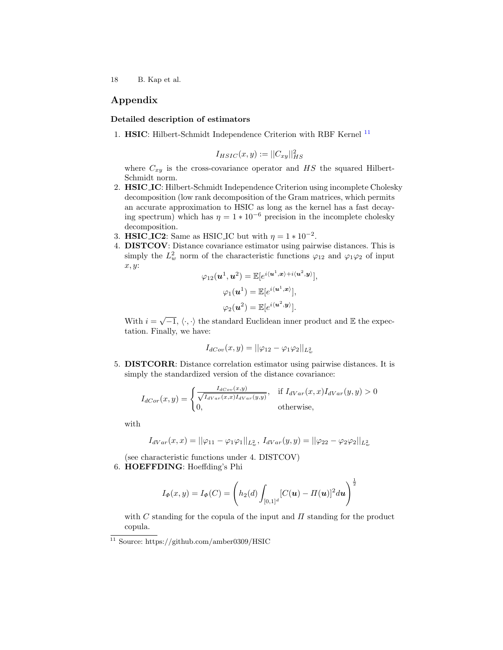# Appendix

#### <span id="page-17-0"></span>Detailed description of estimators

1. HSIC: Hilbert-Schmidt Independence Criterion with RBF Kernel [11](#page-17-1)

$$
I_{HSIC}(x,y) := ||C_{xy}||_{HS}^2
$$

where  $C_{xy}$  is the cross-covariance operator and  $HS$  the squared Hilbert-Schmidt norm.

- 2. HSIC IC: Hilbert-Schmidt Independence Criterion using incomplete Cholesky decomposition (low rank decomposition of the Gram matrices, which permits an accurate approximation to HSIC as long as the kernel has a fast decaying spectrum) which has  $\eta = 1 * 10^{-6}$  precision in the incomplete cholesky decomposition.
- 3. HSIC\_IC2: Same as HSIC\_IC but with  $\eta = 1 * 10^{-2}$ .
- 4. DISTCOV: Distance covariance estimator using pairwise distances. This is simply the  $L^2_w$  norm of the characteristic functions  $\varphi_{12}$  and  $\varphi_1\varphi_2$  of input x, y:

$$
\varphi_{12}(\boldsymbol{u}^1, \boldsymbol{u}^2) = \mathbb{E}[e^{i\langle \boldsymbol{u}^1, \boldsymbol{x} \rangle + i\langle \boldsymbol{u}^2, \boldsymbol{y} \rangle}],
$$

$$
\varphi_1(\boldsymbol{u}^1) = \mathbb{E}[e^{i\langle \boldsymbol{u}^1, \boldsymbol{x} \rangle}],
$$

$$
\varphi_2(\boldsymbol{u}^2) = \mathbb{E}[e^{i\langle \boldsymbol{u}^2, \boldsymbol{y} \rangle}].
$$

With  $i = \sqrt{-1}$ ,  $\langle \cdot, \cdot \rangle$  the standard Euclidean inner product and E the expectation. Finally, we have:

$$
I_{dCov}(x,y) = ||\varphi_{12} - \varphi_1 \varphi_2||_{L^2_w}
$$

5. DISTCORR: Distance correlation estimator using pairwise distances. It is simply the standardized version of the distance covariance:

$$
I_{dCor}(x,y) = \begin{cases} \frac{I_{dCor}(x,y)}{\sqrt{I_{dVar}(x,x)I_{dVar}(y,y)}}, & \text{if } I_{dVar}(x,x)I_{dVar}(y,y) > 0\\ 0, & \text{otherwise}, \end{cases}
$$

with

$$
I_{dVar}(x,x) = ||\varphi_{11} - \varphi_1 \varphi_1||_{L^2_w}, \ I_{dVar}(y,y) = ||\varphi_{22} - \varphi_2 \varphi_2||_{L^2_w}
$$

(see characteristic functions under 4. DISTCOV)

6. HOEFFDING: Hoeffding's Phi

$$
I_{\Phi}(x, y) = I_{\Phi}(C) = \left( h_2(d) \int_{[0,1]^d} [C(\boldsymbol{u}) - \Pi(\boldsymbol{u})]^2 d\boldsymbol{u} \right)^{\frac{1}{2}}
$$

with  $C$  standing for the copula of the input and  $\Pi$  standing for the product copula.

<span id="page-17-1"></span><sup>11</sup> Source: https://github.com/amber0309/HSIC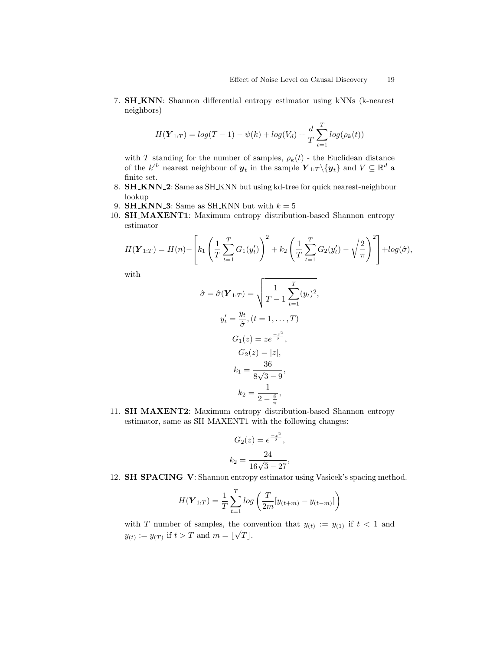7. SH KNN: Shannon differential entropy estimator using kNNs (k-nearest neighbors)

$$
H(\bm{Y}_{1:T}) = log(T - 1) - \psi(k) + log(V_d) + \frac{d}{T} \sum_{t=1}^{T} log(\rho_k(t))
$$

with  $T$  standing for the number of samples,  $\rho_k(t)$  - the Euclidean distance of the  $k^{th}$  nearest neighbour of  $y_t$  in the sample  $\pmb{Y}_{1:T} \setminus \{y_t\}$  and  $V \subseteq \mathbb{R}^d$  a finite set.

- 8. SH KNN 2: Same as SH KNN but using kd-tree for quick nearest-neighbour lookup
- 9. **SH\_KNN\_3**: Same as SH\_KNN but with  $k = 5$
- 10. SH\_MAXENT1: Maximum entropy distribution-based Shannon entropy estimator

$$
H(\boldsymbol{Y}_{1:T}) = H(n) - \left[ k_1 \left( \frac{1}{T} \sum_{t=1}^T G_1(y_t') \right)^2 + k_2 \left( \frac{1}{T} \sum_{t=1}^T G_2(y_t') - \sqrt{\frac{2}{\pi}} \right)^2 \right] + \log(\hat{\sigma}),
$$

with

$$
\hat{\sigma} = \hat{\sigma}(\boldsymbol{Y}_{1:T}) = \sqrt{\frac{1}{T-1} \sum_{t=1}^{T} (y_t)^2},
$$

$$
y'_t = \frac{y_t}{\hat{\sigma}}, (t = 1, ..., T)
$$

$$
G_1(z) = ze^{\frac{-z^2}{2}},
$$

$$
G_2(z) = |z|,
$$

$$
k_1 = \frac{36}{8\sqrt{3} - 9},
$$

$$
k_2 = \frac{1}{2 - \frac{6}{\pi}},
$$

11. SH MAXENT2: Maximum entropy distribution-based Shannon entropy estimator, same as SH MAXENT1 with the following changes:

$$
G_2(z) = e^{\frac{-z^2}{2}},
$$
  

$$
k_2 = \frac{24}{16\sqrt{3} - 27},
$$

12. **SH\_SPACING\_V**: Shannon entropy estimator using Vasicek's spacing method.

$$
H(\boldsymbol{Y}_{1:T}) = \frac{1}{T} \sum_{t=1}^{T} log \left( \frac{T}{2m} [y_{(t+m)} - y_{(t-m)}] \right)
$$

with T number of samples, the convention that  $y_{(t)} := y_{(1)}$  if  $t < 1$  and  $y_{(t)} := y_{(T)}$  if  $t > T$  and  $m = \lfloor \sqrt{T} \rfloor$ .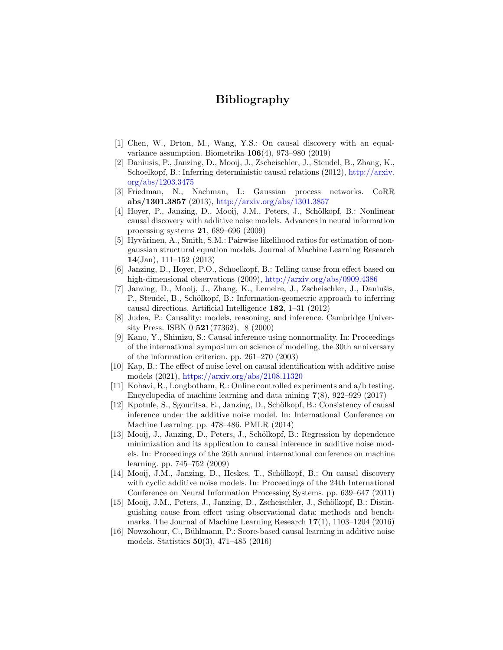# Bibliography

- <span id="page-19-4"></span>[1] Chen, W., Drton, M., Wang, Y.S.: On causal discovery with an equalvariance assumption. Biometrika 106(4), 973–980 (2019)
- [2] Daniusis, P., Janzing, D., Mooij, J., Zscheischler, J., Steudel, B., Zhang, K., Schoelkopf, B.: Inferring deterministic causal relations (2012), [http://arxiv.](http://arxiv.org/abs/1203.3475) [org/abs/1203.3475](http://arxiv.org/abs/1203.3475)
- [3] Friedman, N., Nachman, I.: Gaussian process networks. CoRR abs/1301.3857 (2013), <http://arxiv.org/abs/1301.3857>
- <span id="page-19-10"></span>[4] Hoyer, P., Janzing, D., Mooij, J.M., Peters, J., Schölkopf, B.: Nonlinear causal discovery with additive noise models. Advances in neural information processing systems 21, 689–696 (2009)
- [5] Hyvärinen, A., Smith, S.M.: Pairwise likelihood ratios for estimation of nongaussian structural equation models. Journal of Machine Learning Research 14(Jan), 111–152 (2013)
- [6] Janzing, D., Hoyer, P.O., Schoelkopf, B.: Telling cause from effect based on high-dimensional observations (2009), <http://arxiv.org/abs/0909.4386>
- <span id="page-19-5"></span>[7] Janzing, D., Mooij, J., Zhang, K., Lemeire, J., Zscheischler, J., Daniušis, P., Steudel, B., Schölkopf, B.: Information-geometric approach to inferring causal directions. Artificial Intelligence 182, 1–31 (2012)
- <span id="page-19-0"></span>[8] Judea, P.: Causality: models, reasoning, and inference. Cambridge University Press. ISBN 0  $521(77362)$ , 8 (2000)
- <span id="page-19-6"></span>[9] Kano, Y., Shimizu, S.: Causal inference using nonnormality. In: Proceedings of the international symposium on science of modeling, the 30th anniversary of the information criterion. pp. 261–270 (2003)
- <span id="page-19-11"></span>[10] Kap, B.: The effect of noise level on causal identification with additive noise models (2021), <https://arxiv.org/abs/2108.11320>
- <span id="page-19-1"></span>[11] Kohavi, R., Longbotham, R.: Online controlled experiments and a/b testing. Encyclopedia of machine learning and data mining  $7(8)$ , 922–929 (2017)
- <span id="page-19-2"></span>[12] Kpotufe, S., Sgouritsa, E., Janzing, D., Schölkopf, B.: Consistency of causal inference under the additive noise model. In: International Conference on Machine Learning. pp. 478–486. PMLR (2014)
- <span id="page-19-7"></span>[13] Mooij, J., Janzing, D., Peters, J., Schölkopf, B.: Regression by dependence minimization and its application to causal inference in additive noise models. In: Proceedings of the 26th annual international conference on machine learning. pp. 745–752 (2009)
- <span id="page-19-8"></span>[14] Mooij, J.M., Janzing, D., Heskes, T., Schölkopf, B.: On causal discovery with cyclic additive noise models. In: Proceedings of the 24th International Conference on Neural Information Processing Systems. pp. 639–647 (2011)
- <span id="page-19-3"></span>[15] Mooij, J.M., Peters, J., Janzing, D., Zscheischler, J., Schölkopf, B.: Distinguishing cause from effect using observational data: methods and benchmarks. The Journal of Machine Learning Research  $17(1)$ ,  $1103-1204$  (2016)
- <span id="page-19-9"></span>[16] Nowzohour, C., Bühlmann, P.: Score-based causal learning in additive noise models. Statistics 50(3), 471–485 (2016)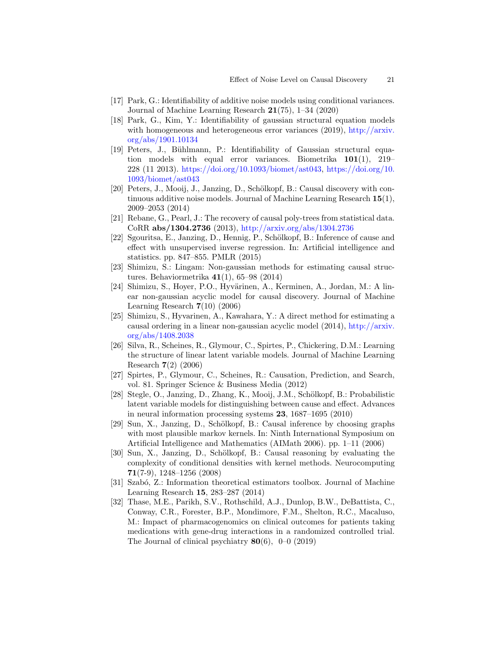- <span id="page-20-3"></span>[17] Park, G.: Identifiability of additive noise models using conditional variances. Journal of Machine Learning Research 21(75), 1–34 (2020)
- <span id="page-20-4"></span>[18] Park, G., Kim, Y.: Identifiability of gaussian structural equation models with homogeneous and heterogeneous error variances  $(2019)$ , [http://arxiv.](http://arxiv.org/abs/1901.10134) [org/abs/1901.10134](http://arxiv.org/abs/1901.10134)
- <span id="page-20-8"></span>[19] Peters, J., Bühlmann, P.: Identifiability of Gaussian structural equation models with equal error variances. Biometrika  $101(1)$ , 219– 228 (11 2013). [https://doi.org/10.1093/biomet/ast043,](https://doi.org/10.1093/biomet/ast043) [https://doi.org/10.](https://doi.org/10.1093/biomet/ast043) [1093/biomet/ast043](https://doi.org/10.1093/biomet/ast043)
- <span id="page-20-2"></span>[20] Peters, J., Mooij, J., Janzing, D., Schölkopf, B.: Causal discovery with continuous additive noise models. Journal of Machine Learning Research  $15(1)$ , 2009–2053 (2014)
- [21] Rebane, G., Pearl, J.: The recovery of causal poly-trees from statistical data. CoRR abs/1304.2736 (2013), <http://arxiv.org/abs/1304.2736>
- [22] Sgouritsa, E., Janzing, D., Hennig, P., Schölkopf, B.: Inference of cause and effect with unsupervised inverse regression. In: Artificial intelligence and statistics. pp. 847–855. PMLR (2015)
- [23] Shimizu, S.: Lingam: Non-gaussian methods for estimating causal structures. Behaviormetrika 41(1), 65–98 (2014)
- <span id="page-20-10"></span>[24] Shimizu, S., Hoyer, P.O., Hyvärinen, A., Kerminen, A., Jordan, M.: A linear non-gaussian acyclic model for causal discovery. Journal of Machine Learning Research  $7(10)$   $(2006)$
- <span id="page-20-5"></span>[25] Shimizu, S., Hyvarinen, A., Kawahara, Y.: A direct method for estimating a causal ordering in a linear non-gaussian acyclic model (2014), [http://arxiv.](http://arxiv.org/abs/1408.2038) [org/abs/1408.2038](http://arxiv.org/abs/1408.2038)
- <span id="page-20-7"></span>[26] Silva, R., Scheines, R., Glymour, C., Spirtes, P., Chickering, D.M.: Learning the structure of linear latent variable models. Journal of Machine Learning Research 7(2) (2006)
- <span id="page-20-0"></span>[27] Spirtes, P., Glymour, C., Scheines, R.: Causation, Prediction, and Search, vol. 81. Springer Science & Business Media (2012)
- [28] Stegle, O., Janzing, D., Zhang, K., Mooij, J.M., Schölkopf, B.: Probabilistic latent variable models for distinguishing between cause and effect. Advances in neural information processing systems 23, 1687–1695 (2010)
- [29] Sun, X., Janzing, D., Schölkopf, B.: Causal inference by choosing graphs with most plausible markov kernels. In: Ninth International Symposium on Artificial Intelligence and Mathematics (AIMath 2006). pp. 1–11 (2006)
- <span id="page-20-6"></span>[30] Sun, X., Janzing, D., Schölkopf, B.: Causal reasoning by evaluating the complexity of conditional densities with kernel methods. Neurocomputing 71(7-9), 1248–1256 (2008)
- <span id="page-20-9"></span>[31] Szabó, Z.: Information theoretical estimators toolbox. Journal of Machine Learning Research 15, 283–287 (2014)
- <span id="page-20-1"></span>[32] Thase, M.E., Parikh, S.V., Rothschild, A.J., Dunlop, B.W., DeBattista, C., Conway, C.R., Forester, B.P., Mondimore, F.M., Shelton, R.C., Macaluso, M.: Impact of pharmacogenomics on clinical outcomes for patients taking medications with gene-drug interactions in a randomized controlled trial. The Journal of clinical psychiatry  $80(6)$ , 0–0 (2019)